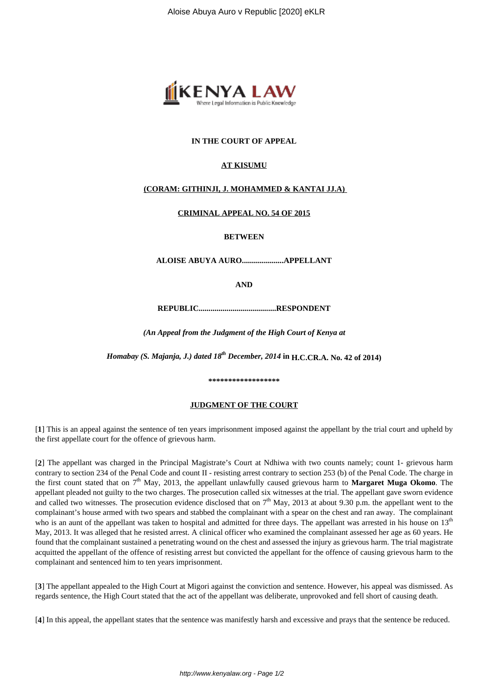

# **IN THE COURT OF APPEAL**

# **AT KISUMU**

# **(CORAM: GITHINJI, J. MOHAMMED & KANTAI JJ.A)**

## **CRIMINAL APPEAL NO. 54 OF 2015**

## **BETWEEN**

**ALOISE ABUYA AURO.....................APPELLANT**

**AND**

**REPUBLIC.......................................RESPONDENT**

*(An Appeal from the Judgment of the High Court of Kenya at*

*Homabay (S. Majanja, J.) dated 18th December, 2014* **in H.C.CR.A. No. 42 of 2014)**

### **\*\*\*\*\*\*\*\*\*\*\*\*\*\*\*\*\*\***

## **JUDGMENT OF THE COURT**

[**1**] This is an appeal against the sentence of ten years imprisonment imposed against the appellant by the trial court and upheld by the first appellate court for the offence of grievous harm.

[**2**] The appellant was charged in the Principal Magistrate's Court at Ndhiwa with two counts namely; count 1- grievous harm contrary to section 234 of the Penal Code and count II - resisting arrest contrary to section 253 (b) of the Penal Code. The charge in the first count stated that on 7th May, 2013, the appellant unlawfully caused grievous harm to **Margaret Muga Okomo**. The appellant pleaded not guilty to the two charges. The prosecution called six witnesses at the trial. The appellant gave sworn evidence and called two witnesses. The prosecution evidence disclosed that on  $7<sup>th</sup>$  May, 2013 at about 9.30 p.m. the appellant went to the complainant's house armed with two spears and stabbed the complainant with a spear on the chest and ran away. The complainant who is an aunt of the appellant was taken to hospital and admitted for three days. The appellant was arrested in his house on  $13<sup>th</sup>$ May, 2013. It was alleged that he resisted arrest. A clinical officer who examined the complainant assessed her age as 60 years. He found that the complainant sustained a penetrating wound on the chest and assessed the injury as grievous harm. The trial magistrate acquitted the appellant of the offence of resisting arrest but convicted the appellant for the offence of causing grievous harm to the complainant and sentenced him to ten years imprisonment.

[**3**] The appellant appealed to the High Court at Migori against the conviction and sentence. However, his appeal was dismissed. As regards sentence, the High Court stated that the act of the appellant was deliberate, unprovoked and fell short of causing death.

[**4**] In this appeal, the appellant states that the sentence was manifestly harsh and excessive and prays that the sentence be reduced.